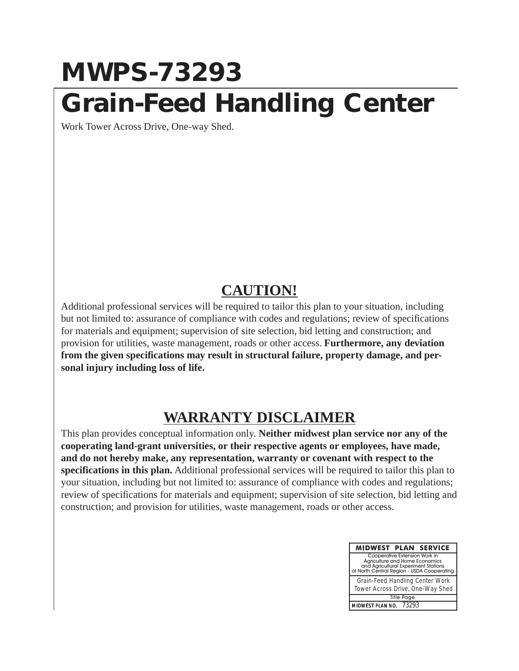## **MWPS-73293 Grain-Feed Handling Center**

Work Tower Across Drive, One-way Shed.

## **CAUTION!**

Additional professional services will be required to tailor this plan to your situation, including but not limited to: assurance of compliance with codes and regulations; review of specifications for materials and equipment; supervision of site selection, bid letting and construction; and provision for utilities, waste management, roads or other access. **Furthermore, any deviation from the given specifications may result in structural failure, property damage, and personal injury including loss of life.**

## **WARRANTY DISCLAIMER**

This plan provides conceptual information only. **Neither midwest plan service nor any of the cooperating land-grant universities, or their respective agents or employees, have made, and do not hereby make, any representation, warranty or covenant with respect to the specifications in this plan.** Additional professional services will be required to tailor this plan to your situation, including but not limited to: assurance of compliance with codes and regulations; review of specifications for materials and equipment; supervision of site selection, bid letting and construction; and provision for utilities, waste management, roads or other access.

| <b>MIDWEST PLAN SERVICE</b>                                                                                                                           |  |  |  |  |  |  |  |
|-------------------------------------------------------------------------------------------------------------------------------------------------------|--|--|--|--|--|--|--|
| Cooperative Extension Work in<br>Agriculture and Home Economics<br>and Agricultural Experiment Stations<br>of North Central Region - USDA Cooperating |  |  |  |  |  |  |  |
| Grain-Feed Handling Center Work<br>Tower Across Drive, One-Way Shed                                                                                   |  |  |  |  |  |  |  |
| <b>Title Page</b>                                                                                                                                     |  |  |  |  |  |  |  |
| MIDWEST PLAN NO. 73293                                                                                                                                |  |  |  |  |  |  |  |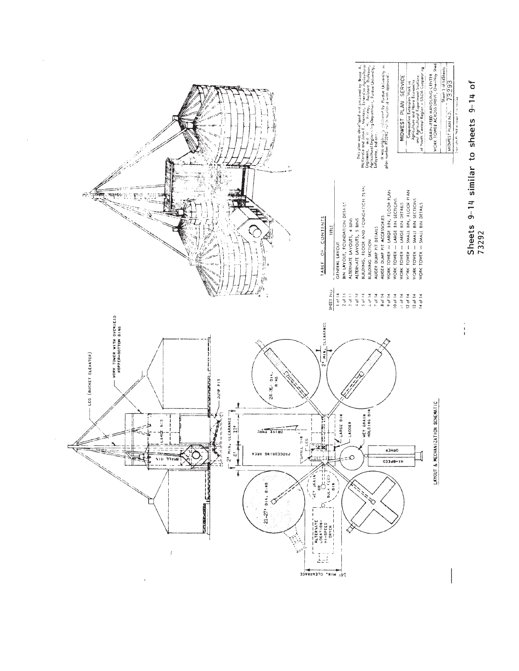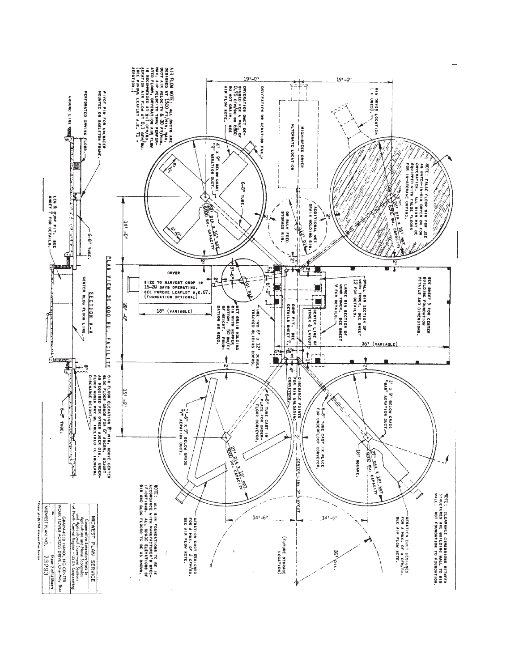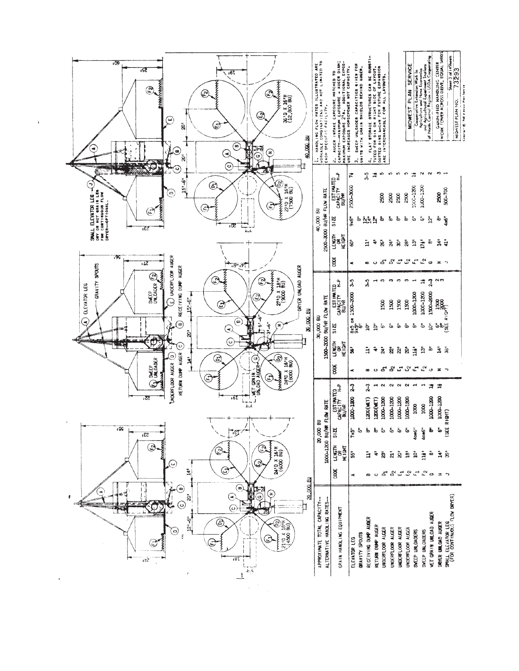| ,09<br>521<br>$.6$ t<br><b>HAHAHAHA</b><br>T<br>T<br>$\begin{array}{c}\n\bullet \\ \bullet \\ \bullet \\ \bullet\n\end{array}$<br>٥<br>℗<br>$\mathbf{\Theta}$<br>36'D X 16'H<br>(12,800 BU)<br>$\circledcirc$<br>$\mathop{\mathcal{C}}$<br>$\mathbf \Theta$<br>ຂົ<br>40,000.BN<br>$\circlede$<br>Ř<br><b>PEO</b><br>⋐<br>E<br>☉<br>$\ddot{\hat{8}}$<br>Ğ,<br>$\widehat{\odot}$                                                                                                                                                                                                                      | 1. HANDLING FLOW PATES ILLUBTRATED ARE<br>WORKABLE COMBINATIONS AND NOT LIMITED TO<br>EACH SPECIFIC FACILITY. | 2. AUGER INTAKE EXPOSURE MATCHED TO<br>CAPACITY---MINIMUM EXPOSURE - AUGER DIAM;<br>MARCITY---MINIMUM EXPOSURE - AUGER DIAM;<br>URE INCREASES HORSEPOWER NOT CAPACITY. | SWEEP UNLOADER CAPACITIES GIVEN FOR<br>UNITS WITH GRAIN SHIELDS BEHIND AUGER-<br>5                                                                   | 4. FLAT STORAGE STRUCTURES CAN BE SUBSTITUTED FOR BIN ON RIGHT SIDE OF LAYOUT.<br>TUITED FOR BIN ON RIGHT SIDE OF LAYOUT.<br>ARE INTERCHARGABLE FOR ALL LAYOUTS. |                                                                                                                                                 | MIDWEST PLAN SERVICE                                                                                                 | Cooperative Extension Work in<br>only is ulture and Home Economics<br>of North Central Rajan - USDA Cooperating<br>of North Central Rajion - USDA Cooperating | GAIN-FEED HANDLING CENTER<br>WORK TOWER ACROSS DRIVE, EQUAL SHEDS<br>Sheet 3 of 14Sheets | 73293<br>Service<br>castrach Rt. 1968 alternati Pierr<br>MIDWEST PLAN NO. |
|-----------------------------------------------------------------------------------------------------------------------------------------------------------------------------------------------------------------------------------------------------------------------------------------------------------------------------------------------------------------------------------------------------------------------------------------------------------------------------------------------------------------------------------------------------------------------------------------------------|---------------------------------------------------------------------------------------------------------------|------------------------------------------------------------------------------------------------------------------------------------------------------------------------|------------------------------------------------------------------------------------------------------------------------------------------------------|------------------------------------------------------------------------------------------------------------------------------------------------------------------|-------------------------------------------------------------------------------------------------------------------------------------------------|----------------------------------------------------------------------------------------------------------------------|---------------------------------------------------------------------------------------------------------------------------------------------------------------|------------------------------------------------------------------------------------------|---------------------------------------------------------------------------|
| ب<br>الس <sub>ا</sub> بھیا۔<br>$151 - 61$<br>3<br>⊜<br>∍<br>म्<br>पश्च<br>सर्वे<br>SMALL ELEVATOR LEG $\frac{J}{m}$<br>ony or not grain Leg<br>for continuous flow<br>E<br>(750)<br>$\mathbb{G}% _{M_{1},M_{2}}^{\alpha,\beta}$<br>⊕<br>$\mathfrak{S}$<br>ιŒ<br>≀£S<br>IJ                                                                                                                                                                                                                                                                                                                           | 2500-3000 BU/HR FLOW RATE<br>40,000 BU                                                                        | CAPACITY H-P<br>CAPACITY H-P<br>BU/HR<br>312E<br><b>LENGTH</b><br>HE IGHT                                                                                              | નુ<br>t,<br>2500-3000<br>9x6"<br>$\bar{\tilde{\mathbf{c}}}$<br>ង្គ័ង្គ<br>$\bf \hat{S}$<br>ā                                                         | Ю<br>Ħ<br>2500<br>$\ddot{\mathtt{a}}$<br>÷<br>ā,                                                                                                                 | n,<br>S<br>2500<br>2500<br>్టే<br>$\stackrel{\scriptscriptstyle\rm E}{\scriptscriptstyle\rm \odot}$<br>$\bar{\mathbf{z}}$<br>$\bar{\mathbf{s}}$ | ഹ<br>Ħ<br>1000-1200<br>2500<br>$5\,$<br>ఙ<br>$\frac{5}{2}$<br>ā                                                      | $\sim$<br>$\sim$<br>1000-1200<br>ق<br>ង្គ<br>ř<br>ō                                                                                                           | $\sigma$<br>500-700<br>88<br>စ်<br>4x6"<br>ਕੇ<br>ă,                                      |                                                                           |
| $-95$<br>E UNDERFLOOR AUGER<br>$\overline{12}$<br>$+1.9 - 10$<br>GRAVITY SPOUTS<br>DRYER UNLOAD AUGER<br>RECEIVING DUMP AUGER<br>$\mathfrak{S}$<br>$\frac{1}{2}$<br>$\mathfrak{S}$<br>$2710$ X $1811$<br>(9000 BU)<br>$\mathfrak{D}% _{T}=\mathfrak{D}_{T}\!\left( a,b\right) ,\ \mathfrak{D}_{T}=C_{T}\!\left( a,b\right) , \label{eq-qt:cong}%$<br>SWEEP<br>ELEVATOR LEG<br>$15! - 6"$<br>ඔ<br>☺<br>30,000.80<br>تې<br>:∲<br>$\circlede$<br>⋖,<br>۴<br>$-31 - 6$ "<br>$\circledast$<br>$\odot$<br>ā<br>E<br>φ<br>$\tilde{\circ}$<br>J<br><u>ල</u><br>$\mathfrak{S}% _{A}^{\alpha\beta}$<br>⊚<br>킈 | 1500-2000 BU/HR FLOW RATE<br>30,000 BU                                                                        | <b>SOOK</b><br>ESTIMATED<br>CAPACITY H-P<br>BU/HR<br>5125<br><b>LENGTH</b><br>HEIGHT                                                                                   | œ<br>۰<br>J,<br>J,<br>1500-2000<br>ဧ<br>အစီး<br>စီးစီး<br>ġ<br>š<br>ā                                                                                | $\mathrel{\circ}$<br>ო<br>1500<br>$\mathbf{\hat{p}}$<br>٠ő<br>÷<br>$\mathbf{a}$                                                                                  | 585<br>S<br>ా<br>1500<br>1500<br>å,<br>ق<br>ន៍<br>Ñ                                                                                             | $\mathcal{Q}$<br>$\mathfrak{t}^{\mathsf{st}}$<br>్<br>1000-1200<br>1500<br>Ō<br>စ်<br>ā<br>à                         | $\mathbb{C}^{\mathbf{Q}}$ or $\mathbb{R}^{\mathbf{Q}}$<br>Ħ<br>$\frac{3}{2}$<br>1500-2000<br>1000-1200<br>$\mathbf{\hat{Q}}$<br>÷ه<br>$\frac{5}{2}$<br>ō      | ຸດຕ<br><b>DOOR</b><br>BOOSE<br>်စစ်<br>ဖွ<br>Ë.<br>$\tilde{\mathcal{B}}$                 |                                                                           |
| RETURN DUMP AUGER<br>UNDERFLOOR AUGER (D)<br>2493 1614<br>SWEEP<br>UNLOADER<br><b>L</b> WET GRAIN<br>1<br>建排出<br>☺<br>$\mathbf{\widehat{\Xi}}$<br>€<br>.61<br>ıΖ<br>IJ<br>ı ÇÇ<br>53.<br>2410 X 161H<br>೨<br>پيا<br>€<br>İ                                                                                                                                                                                                                                                                                                                                                                          | 20,000 BU                                                                                                     | ğ<br>ESTIMATED<br>CAPACITY H-P<br>BU/HR<br><b>1000-1200 BU/HR FLOW RATE</b><br>312E<br><b>LENGTH</b><br><b>HEIGHT</b><br>300 <sup>2</sup>                              | œ<br>$\tilde{\phantom{a}}$<br>$\frac{3}{2}$<br>$\frac{3}{2}$<br>1000-1200<br>$1200(\text{H}\text{T})$<br>Б<br>$7\times5$<br>55<br>ā<br>×<br>$\infty$ | చ<br>$\circ$<br>$\sim$<br>H<br>1000-1200<br>1200(WET)<br>Ъ<br>÷.<br>ক<br>ā<br>చ<br>$\circ$                                                                       | చి<br>$\vec{\omega}$<br>$\sim$<br>$\sim$<br>1000-1200<br>1000-1200<br>÷.<br>å.<br>$\bar{a}$<br>ā<br>చి<br>$\vec{\omega}$                        | $\mathbb{S}^n$ $\mathbb{C}^n$<br>$\sim$<br>1000-1200<br>1000<br><b>4086"</b><br>å.<br>Ā<br>ġ<br>$\mathbb{S}^2$<br>τ, | ی س<br>Ħ<br>킈<br>1000-1200<br>3000<br><b>40R6"</b><br>È<br>õ<br>$\mathbf{r}_{\alpha}$<br>$\circ$                                                              | $2 - 7$<br>Ħ<br>1000-1200<br><b>Elgan</b><br>$rac{1}{2}$<br>ഄ<br>ī š<br>$\equiv$         |                                                                           |
| ۵<br>۹<br>き<br>ā<br>$\circ$<br>٤<br>⊙<br>Œ<br>(ပ<br>$12 - 6$ "<br>⊜<br>E<br>$\frac{110 \times 1874}{4500 \text{ B}0}$<br>$\Theta$<br>$\frac{3}{2}$<br>2110<br>181<br>172<br>長木<br>ì                                                                                                                                                                                                                                                                                                                                                                                                                 | 20,000 BU<br>APPROXIMATE TOTAL CAPACITY-                                                                      | ALTERNATIVE HANOLING RATES-<br>GRAIN HANOLING EQUIPMENT                                                                                                                | RECEIVING DUMP AUGER<br>GRAVITY SPOUTS<br>ELEVATOR LEG                                                                                               | RETURNI DUMP AUGER<br>UNDERFLOOR AUGER                                                                                                                           | UNDERFLOOR AUGER<br>UNDERFLOOR AUGER                                                                                                            | UNDERFLOOR AUGER<br>SWEEP UNLOADERS                                                                                  | HET GRAIN UNLOAD AUGER<br>SWEEP UNLOADERS                                                                                                                     | SMALL ELEVATOR LEG<br>(FOR CONTINUOUS FLOW DRYER)<br>DRYER UNLOAD AUGER                  |                                                                           |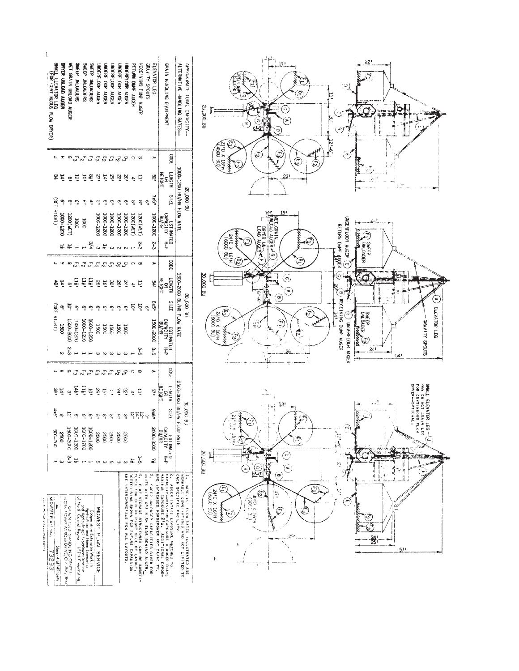| DRYER UNLOAD AUGER<br>MET GRAIN UNLOAD AUGER<br>SWEEP UNLOADERS<br>SPALL ELEVATOR LEG<br>(FOR CONTINUOUS FLOW DRYER)<br>SMEEP UNLOADERS<br><b>SMEEP UNLOADERS</b><br>JNDERELOON AUGER<br>UNDERFLOOR AUGER<br>UNDERFLOOK ALCER<br>UNDERFLOOR AUGER                                                                                                                                                                                        | GRAIN HANDLING EQUIPMENT<br>APPROXIMATE TOTAL CAPACITY-<br><b>RETURN DUNF AUGER</b><br><b>RECEIVING PUNE AUGER</b><br>STUDY SPOUTS<br>ELEVATOR LEG<br>ALTERNATIVE HANDLING RATES-<br>MUEREL SOR AUGER                                                                                                                                                                                                                                                                                                                                                                                                                                              | 22!<br>17!<br>₩<br>(ټ)<br>Ę<br>20.000.3U<br>ີດ<br>Ş<br>¢,<br>τ)<br>69<br>٨<br><b>up</b><br>$5 - 5$                                                                                                                                                                                                                                                                                                                          |
|------------------------------------------------------------------------------------------------------------------------------------------------------------------------------------------------------------------------------------------------------------------------------------------------------------------------------------------------------------------------------------------------------------------------------------------|----------------------------------------------------------------------------------------------------------------------------------------------------------------------------------------------------------------------------------------------------------------------------------------------------------------------------------------------------------------------------------------------------------------------------------------------------------------------------------------------------------------------------------------------------------------------------------------------------------------------------------------------------|-----------------------------------------------------------------------------------------------------------------------------------------------------------------------------------------------------------------------------------------------------------------------------------------------------------------------------------------------------------------------------------------------------------------------------|
| ా బొబా<br>a a a a a a<br>$\ddot{\tau}$<br>$\tilde{\omega}$<br>$\frac{1}{2}$<br>$\tilde{\mathbf{z}}$<br>$\tilde{\mathcal{S}}$<br>$\tilde{\mathcal{S}}$<br>$\tilde{\Omega}$<br>$\dot{H}$<br>7<br>∘≌<br>ې<br>ဇွ<br>్తా<br>$\sigma_{\!\!\!j}$<br>헢<br>್ಚಿ<br>ي<br>୍ର                                                                                                                                                                         | 3000<br>റ ഗ<br>×<br>1000-1200 BIJ/HR FLOW RATE<br><b>RENE</b><br><b>HEIGHT</b><br>ã<br>ĸ,<br>Ę<br>$\tilde{\mathbf{e}}$<br><b>DB</b> 000 BU<br>31ZE<br>$\tilde{\mathbf{z}}$<br>ၐၞ<br>ي<br>؋<br>ဇ္ဒ<br>$\frac{1}{2}$                                                                                                                                                                                                                                                                                                                                                                                                                                 | 31'0 x 0'15<br>٤<br>$\mathfrak{E}$<br>Ć<br>٤<br>$\hat{\epsilon}_2$<br>23 <sup>t</sup><br>2                                                                                                                                                                                                                                                                                                                                  |
| $\overline{33}$<br>(LHDI è<br><b>0021-0001</b><br>(130)(W1)<br>1000-1200<br>1000-1200<br>1000-1200<br>1000-1200<br>1000<br>1000                                                                                                                                                                                                                                                                                                          | ESTIMATED<br>CAPACITY H-P<br>BU/HR<br>1000-1200<br>1000-1200<br>1300 (MET)<br>1200 (WET)<br>E                                                                                                                                                                                                                                                                                                                                                                                                                                                                                                                                                      | 19 <sup>1</sup><br>MET.GRAIN<br>UNLOAD AUGER<br>UNDERFLOOR AUGER<br>RETURN DIAMP AVGER<br><b>LOAD AUGERY</b><br>$(6000 \text{ b})$<br>رميم<br>β<br>SMEEP<br>SMEEP<br>G                                                                                                                                                                                                                                                      |
| Ω<br>$\vec{\omega}$<br>$\vec{c}$<br>Д<br>$\mathcal{C}$<br>$\mathcal{E}$<br>مری ہے۔<br>TH.<br>щ<br>щŗ<br>le'<br>$\frac{8}{2}$<br>16t<br>ê,<br>$\widetilde{\mathbf{x}}$<br>€<br>$\tilde{a}$<br>ត្<br><b>SEE RIGHT</b> )<br>ڇ<br>o,<br>$\frac{\sigma_{\rm c}}{2}$<br>್ತಾ<br>۰<br>ୁ<br>ية<br>1500-2000<br>1000-1200<br>1000-1200<br>1000-1200<br><b>DSCC</b><br>$\frac{150}{20}$<br>1500<br><b>E</b> 80<br>1500<br>2-3                       | 3000<br>$\circ$<br>ā<br>1500-2000 BU/HR FLOW RATE<br>$\begin{array}{c}\n\hline\n\text{HOMI} \\ \text{MOMI}\n\end{array}$<br>PS <sup>1</sup><br>ξ<br>부<br>÷<br>30,000 BU<br>321S<br>ex5"<br>ដ្<br>1Ò"<br>ç<br>$\tilde{\phi}$<br>ې<br>ESTIMATED<br>CAPACITY H-P<br>BU/HR<br>1500-2000<br>1500                                                                                                                                                                                                                                                                                                                                                        | ලි<br>$\widehat{\Theta}$<br>6)<br>na oxo oc<br>6<br>S<br>$\circ$<br>8<br>7<br>$\widehat{\boldsymbol{\epsilon}}$<br>$-6, -6$<br>D<br>్ర<br>☜<br>$\epsilon$<br>RECEIVING DUMP AUGER<br>ELEVATION LEG<br>$\widehat{\mathfrak{S}}$<br>٣<br>$\frac{2410 \times 1611}{(6000 \text{ BU})}$<br>€<br>SMEEP<br>UNLOADER<br>Ŀ,<br>STUDE YOUNG<br>UNDERFLOOR ALGER<br>ك<br>$24$ <sup>1</sup>                                            |
| ь<br>င္သားစာ<br>$\mathbb{C}^n$<br>$\mathfrak{c}_2$<br>ىر<br>C,<br>$\sqrt{2}$<br>$\sqrt{2}$<br>$\mathbf{m}$<br>144.<br><b>Jdi</b><br>10<br>ίġ.<br>ত্র<br>ď<br>i pč<br>$\ddot{c}$<br>4x6<br>្ម<br>يە<br>$\frac{\sigma_{\rm s}}{2}$<br>್ಕ್ಲೌ<br>တ္ဖက္<br>್ತಾ<br>್ತಿ<br>1500-2000<br>1000-1200<br>1000-1200<br>0021-0001<br>$00L - 005$<br>0062<br>0092<br>2500<br>2500<br>3500                                                              | ىم<br>س<br>Ĵ<br><b>SODE</b><br>$\mathcal{L}$<br>റ ത<br>×<br>2500-3000 BU/HR F.<br>$\begin{array}{c}\n\overline{5} \\ \overline{3} \\ \overline{4}\n\end{array}$<br>HE IGHT<br>57.<br>νš,<br>Ę<br>$\vec{r}$<br>36,000.8U<br>371S<br>9x6'<br>$\frac{1}{2}$ ស្តីថ្មី $\frac{1}{2}$<br>ၛ<br>LOW RATE<br>ESTIMATED<br>CAPACITY H-P<br>BU/HR<br>BU/HR<br>0006-0092<br>3600                                                                                                                                                                                                                                                                               | 26'<br>54'<br><b>DEYER-</b><br>SHALL ELEVATOR LEG-<br><b>MAY CR HUT JRAIN</b><br>FOR CONTINUOUS F.<br>۴<br>SPITURAL<br>13'<br>Ę<br>69)<br>51<br>ie.<br>ing is a series of the series of the series of the series of the series of the series of the series of the series of the series of the series of the series of the series of the series of the series of the series of the ser<br>ے<br>ن<br>$\mathcal{Z}$<br>ڪَ<br>Å |
| 2,<br>븠<br>مبر<br>u w u<br>$\omega$<br>MIDWEST PLANTNUM<br>Cooperative Extension Work in Cooperation (Section 2)<br>And Agriculture I Experiment Specials<br>and Agriculture I Experiment Specials<br>of North Central Region - USEA Cooperating<br><b>GLAIN LEED HANDLING CENTRE</b><br>Way Meer ACROSS DRIVE, One Way Shed<br>anne M.V.G. Widway<br>MIDWEST PLAN SERVICE<br>$\epsilon$<br>Plen Servine<br>Sheet 4 of 14Shoets<br>73293 | ŗ.<br>$7+$<br>蒜<br>$\omega$<br>2. AUGER INTE.<br>CAPACITY-MINIMUM EXPOS<br>MAXINUM EXPOSURE 21%.<br>4, FLAT STORAGE STRUCTURES CAN BE BUBST!-<br>TUTEC FOR BIN CN RIGHT SIDE OF LAYOUT.<br>DOTTED BINS SHOWN FCR FUTURE EXPANSION<br>UNITS WITH GPAIN SMIELDS BEMIND AUGER,<br>ؽ<br>l. HANDLIKY FICM RATES HLUSTRATED ARE<br>WORKARE COMPINATIONS AND NOT LIMITED TO<br>EACH SPECIFIC FACILITY<br>ARE INTERCHANGABLE FOR ALL LAYOUTS.<br>CAPACITY--MIA.IMUM EXPOSURE = AUGER DIAM;<br>MAXINUM EXPOSURE 21%, ADDITIONAL EXPOS<br>URE INGREASES MORSEPOWER NOT CAPACITY.<br>SWEEP UNLOADER CAPACITIES GIVEN FOR<br>AUGER INTAKE EXPOSURE MAILDIED TO | 20.000.90<br>ģ<br>€<br>$\begin{smallmatrix} (c) \ \alpha & \beta \end{smallmatrix}$<br>٣<br>(œ)<br>۰<br>$\widehat{\mathbb{C}}$<br>(600050)<br>E<br>171<br>7,28)<br>7,00 <b>0</b><br>ø<br>٣<br>€<br>يم<br>유동<br>문화<br>î,<br>ನ<br>29,<br>嚣<br>٦<br>571                                                                                                                                                                        |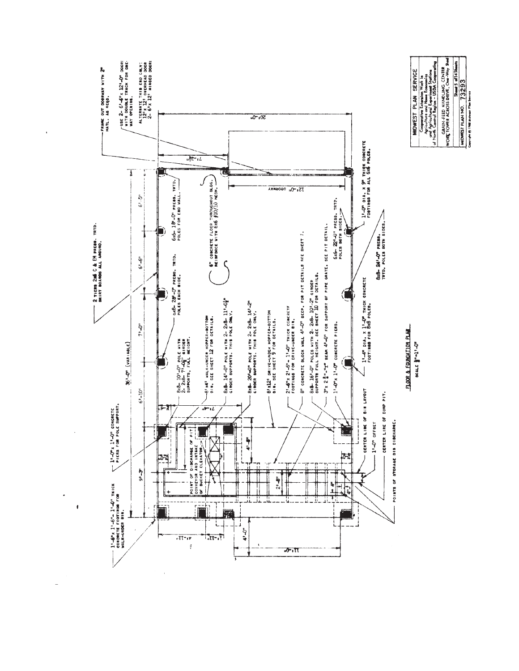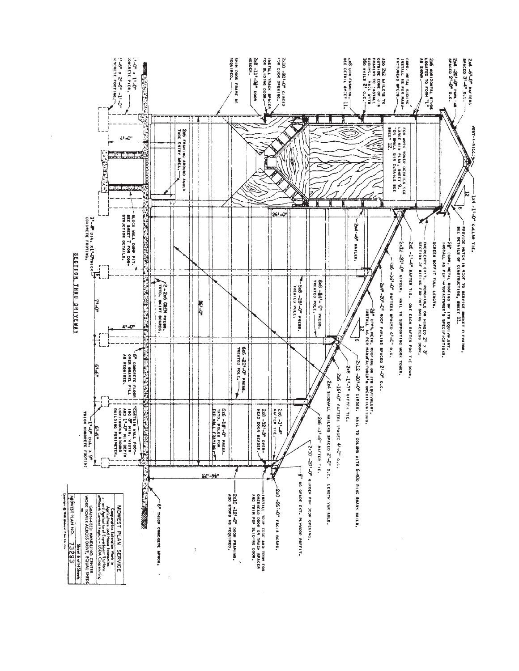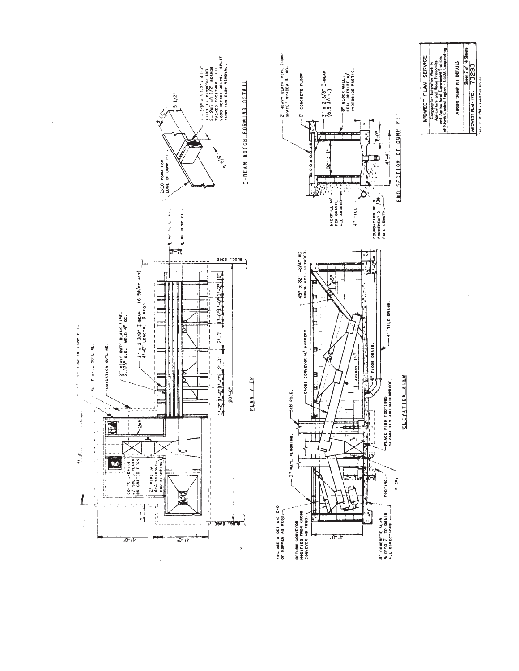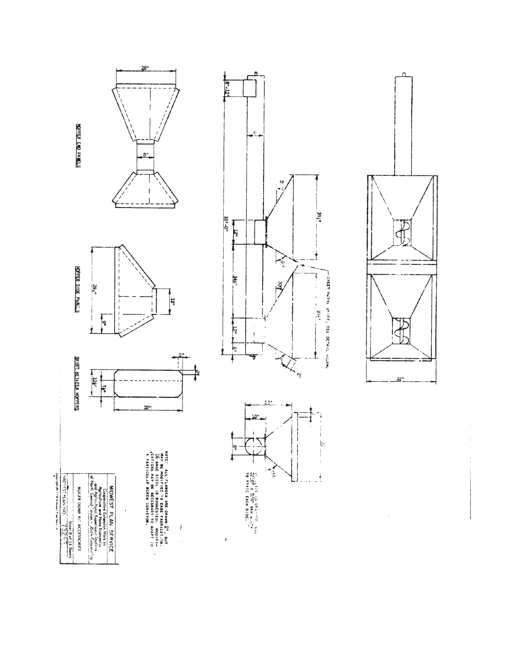**MOPER END PANELS** 









 $\ddot{\ddot{\phi}}$  $\hat{\boldsymbol{\epsilon}}$ 

ï





ဖြ

t

 $\ddot{\phantom{1}}$ 



Sheet Sheets<br>
Corriele in the MN IND.  $\frac{3}{13} \frac{2}{2} \frac{6}{2} \frac{6}{3}$ <br>
Corriele in the statut Pins Section 2

MIOWEST PLAN SERVICE<br>Cooperative Experiency Work in<br>Cooperative Experiency Stricts<br>ord Agricultural Experiment Stricts<br>of bort Central Feilon - USDA Cooperative<br>of bort Central Feilon - USDA Cooperative AUCER DUMP PIT ACCESSORIES

 $\hat{\boldsymbol{\beta}}$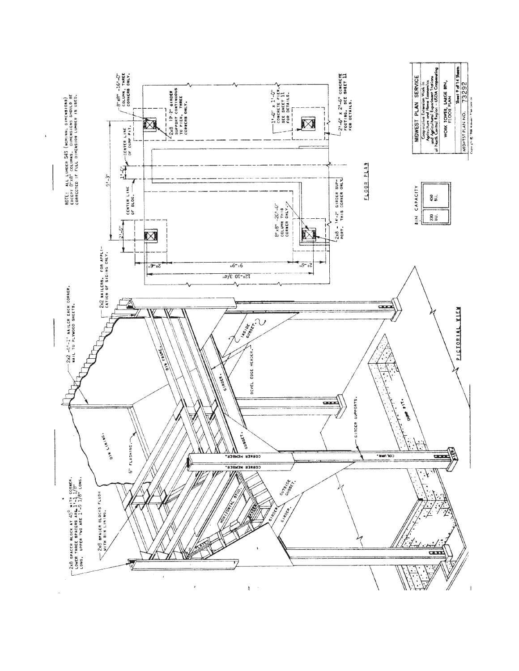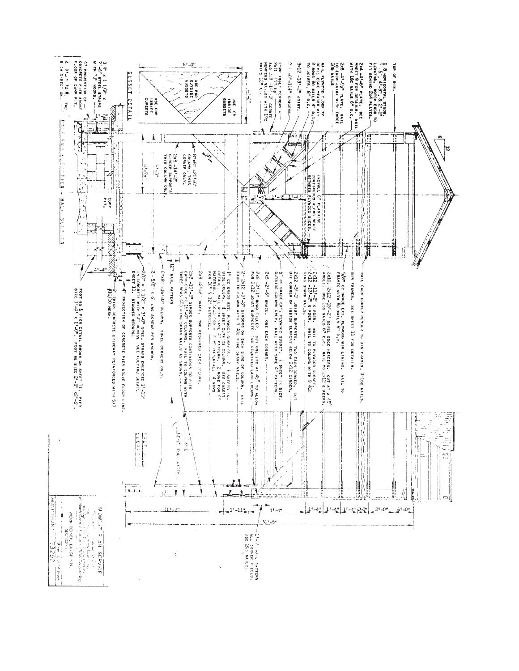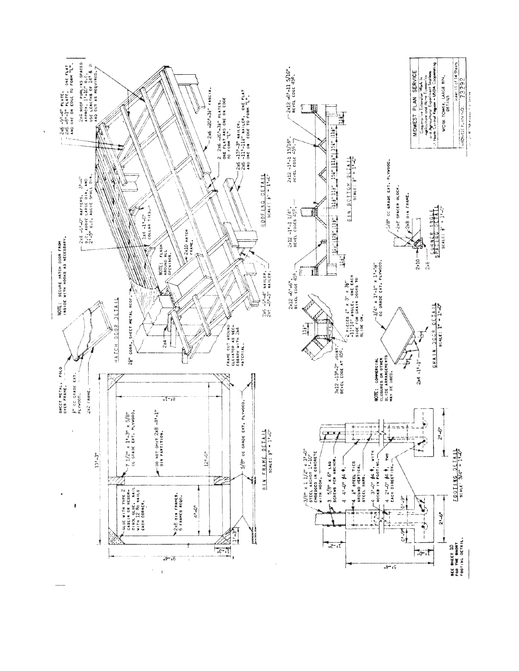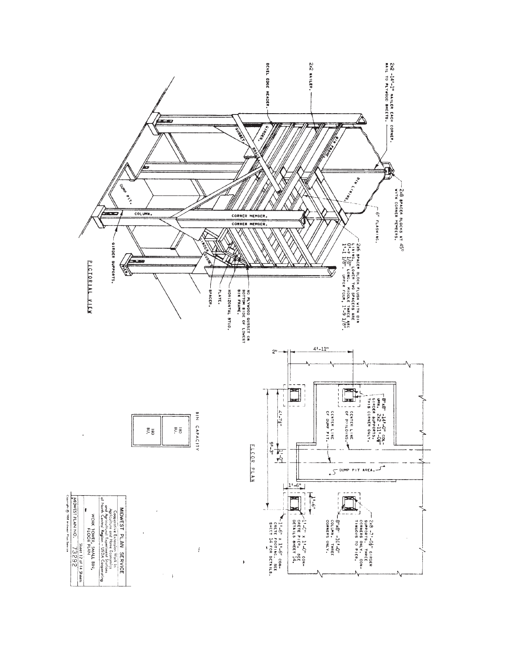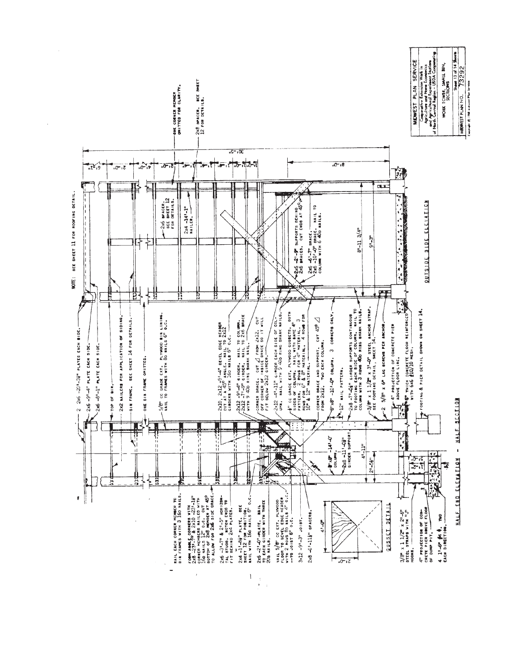